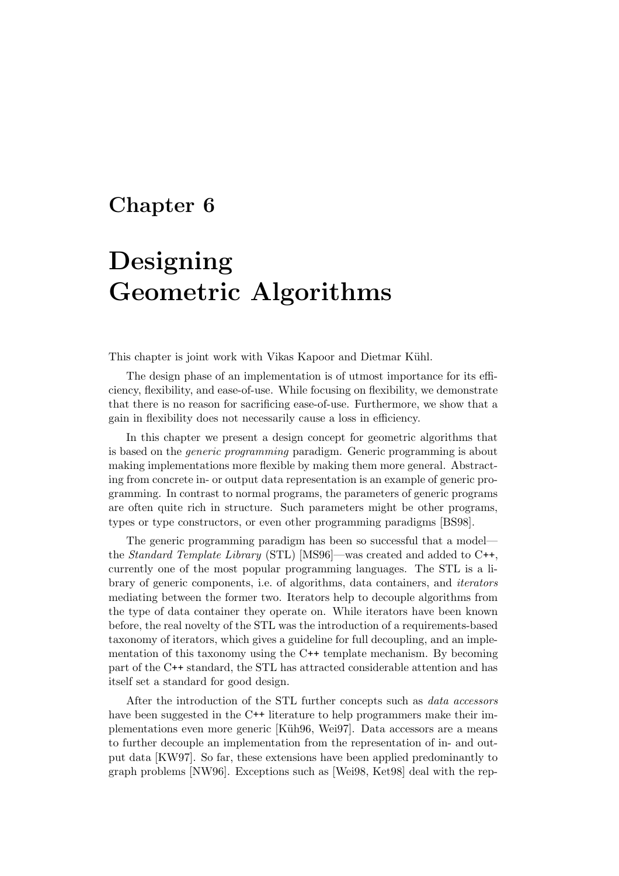# Chapter 6

# Designing Geometric Algorithms

This chapter is joint work with Vikas Kapoor and Dietmar Kühl.

The design phase of an implementation is of utmost importance for its efficiency, flexibility, and ease-of-use. While focusing on flexibility, we demonstrate that there is no reason for sacrificing ease-of-use. Furthermore, we show that a gain in flexibility does not necessarily cause a loss in efficiency.

In this chapter we present a design concept for geometric algorithms that is based on the generic programming paradigm. Generic programming is about making implementations more flexible by making them more general. Abstracting from concrete in- or output data representation is an example of generic programming. In contrast to normal programs, the parameters of generic programs are often quite rich in structure. Such parameters might be other programs, types or type constructors, or even other programming paradigms [BS98].

The generic programming paradigm has been so successful that a model the Standard Template Library (STL) [MS96]—was created and added to C++, currently one of the most popular programming languages. The STL is a library of generic components, i.e. of algorithms, data containers, and iterators mediating between the former two. Iterators help to decouple algorithms from the type of data container they operate on. While iterators have been known before, the real novelty of the STL was the introduction of a requirements-based taxonomy of iterators, which gives a guideline for full decoupling, and an implementation of this taxonomy using the C++ template mechanism. By becoming part of the C++ standard, the STL has attracted considerable attention and has itself set a standard for good design.

After the introduction of the STL further concepts such as data accessors have been suggested in the C<sup>++</sup> literature to help programmers make their implementations even more generic [Küh96, Wei97]. Data accessors are a means to further decouple an implementation from the representation of in- and output data [KW97]. So far, these extensions have been applied predominantly to graph problems [NW96]. Exceptions such as [Wei98, Ket98] deal with the rep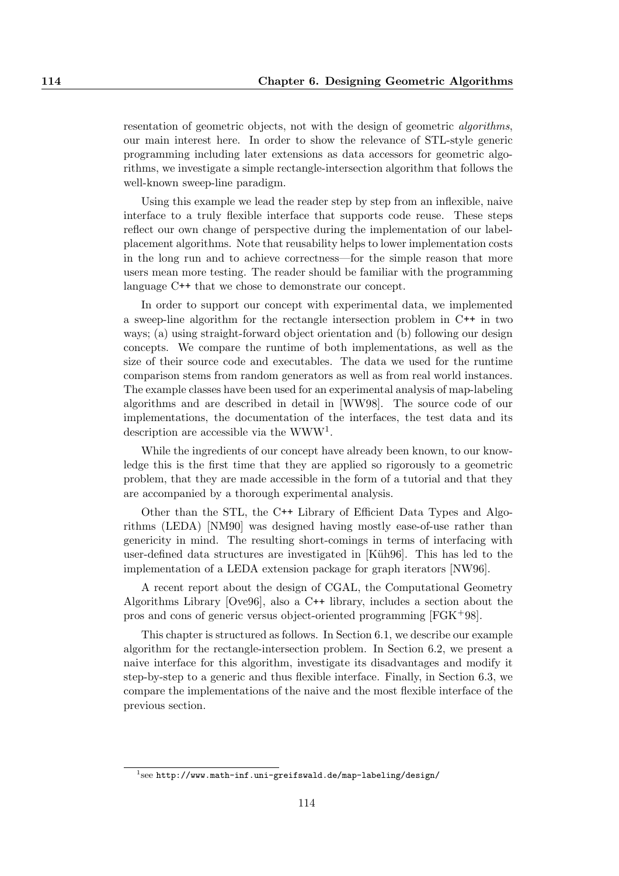resentation of geometric objects, not with the design of geometric algorithms, our main interest here. In order to show the relevance of STL-style generic programming including later extensions as data accessors for geometric algorithms, we investigate a simple rectangle-intersection algorithm that follows the well-known sweep-line paradigm.

Using this example we lead the reader step by step from an inflexible, naive interface to a truly flexible interface that supports code reuse. These steps reflect our own change of perspective during the implementation of our labelplacement algorithms. Note that reusability helps to lower implementation costs in the long run and to achieve correctness—for the simple reason that more users mean more testing. The reader should be familiar with the programming language C++ that we chose to demonstrate our concept.

In order to support our concept with experimental data, we implemented a sweep-line algorithm for the rectangle intersection problem in C++ in two ways; (a) using straight-forward object orientation and (b) following our design concepts. We compare the runtime of both implementations, as well as the size of their source code and executables. The data we used for the runtime comparison stems from random generators as well as from real world instances. The example classes have been used for an experimental analysis of map-labeling algorithms and are described in detail in [WW98]. The source code of our implementations, the documentation of the interfaces, the test data and its description are accessible via the WWW<sup>1</sup>.

While the ingredients of our concept have already been known, to our knowledge this is the first time that they are applied so rigorously to a geometric problem, that they are made accessible in the form of a tutorial and that they are accompanied by a thorough experimental analysis.

Other than the STL, the C++ Library of Efficient Data Types and Algorithms (LEDA) [NM90] was designed having mostly ease-of-use rather than genericity in mind. The resulting short-comings in terms of interfacing with user-defined data structures are investigated in [Küh96]. This has led to the implementation of a LEDA extension package for graph iterators [NW96].

A recent report about the design of CGAL, the Computational Geometry Algorithms Library [Ove96], also a C++ library, includes a section about the pros and cons of generic versus object-oriented programming [FGK+98].

This chapter is structured as follows. In Section 6.1, we describe our example algorithm for the rectangle-intersection problem. In Section 6.2, we present a naive interface for this algorithm, investigate its disadvantages and modify it step-by-step to a generic and thus flexible interface. Finally, in Section 6.3, we compare the implementations of the naive and the most flexible interface of the previous section.

 $^1$ see http://www.math-inf.uni-greifswald.de/map-labeling/design/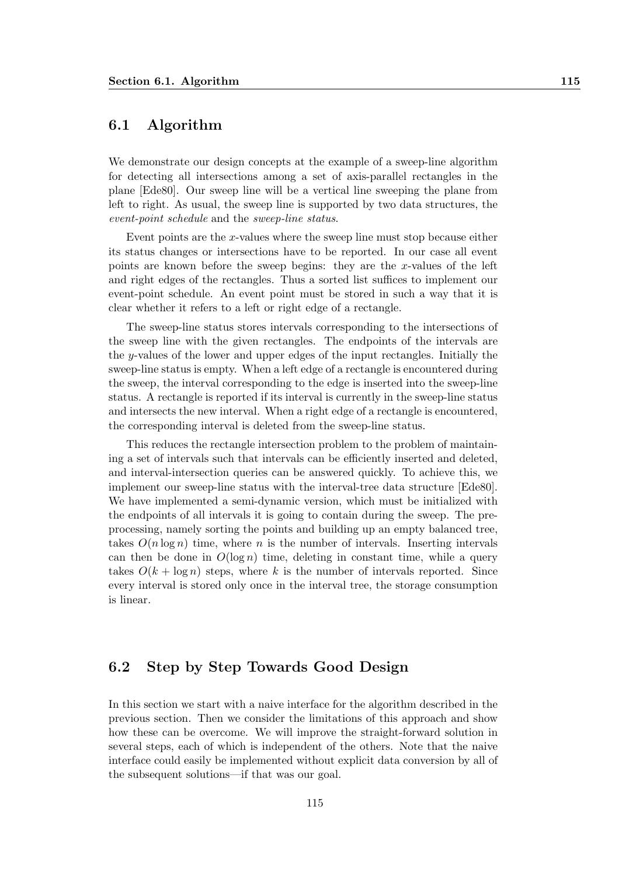# 6.1 Algorithm

We demonstrate our design concepts at the example of a sweep-line algorithm for detecting all intersections among a set of axis-parallel rectangles in the plane [Ede80]. Our sweep line will be a vertical line sweeping the plane from left to right. As usual, the sweep line is supported by two data structures, the event-point schedule and the sweep-line status.

Event points are the x-values where the sweep line must stop because either its status changes or intersections have to be reported. In our case all event points are known before the sweep begins: they are the x-values of the left and right edges of the rectangles. Thus a sorted list suffices to implement our event-point schedule. An event point must be stored in such a way that it is clear whether it refers to a left or right edge of a rectangle.

The sweep-line status stores intervals corresponding to the intersections of the sweep line with the given rectangles. The endpoints of the intervals are the y-values of the lower and upper edges of the input rectangles. Initially the sweep-line status is empty. When a left edge of a rectangle is encountered during the sweep, the interval corresponding to the edge is inserted into the sweep-line status. A rectangle is reported if its interval is currently in the sweep-line status and intersects the new interval. When a right edge of a rectangle is encountered, the corresponding interval is deleted from the sweep-line status.

This reduces the rectangle intersection problem to the problem of maintaining a set of intervals such that intervals can be efficiently inserted and deleted, and interval-intersection queries can be answered quickly. To achieve this, we implement our sweep-line status with the interval-tree data structure [Ede80]. We have implemented a semi-dynamic version, which must be initialized with the endpoints of all intervals it is going to contain during the sweep. The preprocessing, namely sorting the points and building up an empty balanced tree, takes  $O(n \log n)$  time, where n is the number of intervals. Inserting intervals can then be done in  $O(\log n)$  time, deleting in constant time, while a query takes  $O(k + \log n)$  steps, where k is the number of intervals reported. Since every interval is stored only once in the interval tree, the storage consumption is linear.

### 6.2 Step by Step Towards Good Design

In this section we start with a naive interface for the algorithm described in the previous section. Then we consider the limitations of this approach and show how these can be overcome. We will improve the straight-forward solution in several steps, each of which is independent of the others. Note that the naive interface could easily be implemented without explicit data conversion by all of the subsequent solutions—if that was our goal.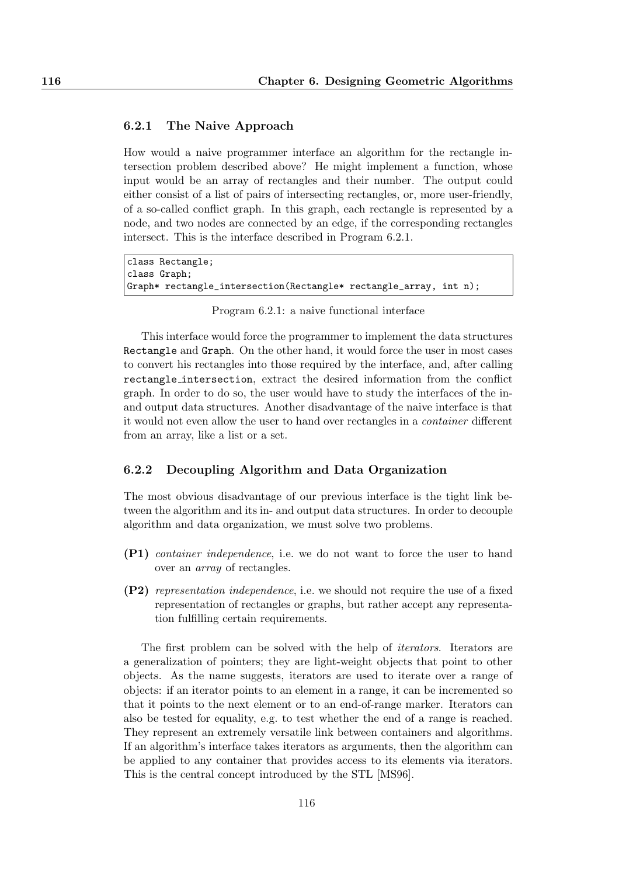#### 6.2.1 The Naive Approach

How would a naive programmer interface an algorithm for the rectangle intersection problem described above? He might implement a function, whose input would be an array of rectangles and their number. The output could either consist of a list of pairs of intersecting rectangles, or, more user-friendly, of a so-called conflict graph. In this graph, each rectangle is represented by a node, and two nodes are connected by an edge, if the corresponding rectangles intersect. This is the interface described in Program 6.2.1.

```
class Rectangle;
class Graph;
Graph* rectangle_intersection(Rectangle* rectangle_array, int n);
```
Program 6.2.1: a naive functional interface

This interface would force the programmer to implement the data structures Rectangle and Graph. On the other hand, it would force the user in most cases to convert his rectangles into those required by the interface, and, after calling rectangle intersection, extract the desired information from the conflict graph. In order to do so, the user would have to study the interfaces of the inand output data structures. Another disadvantage of the naive interface is that it would not even allow the user to hand over rectangles in a container different from an array, like a list or a set.

#### 6.2.2 Decoupling Algorithm and Data Organization

The most obvious disadvantage of our previous interface is the tight link between the algorithm and its in- and output data structures. In order to decouple algorithm and data organization, we must solve two problems.

- (P1) container independence, i.e. we do not want to force the user to hand over an array of rectangles.
- (P2) representation independence, i.e. we should not require the use of a fixed representation of rectangles or graphs, but rather accept any representation fulfilling certain requirements.

The first problem can be solved with the help of iterators. Iterators are a generalization of pointers; they are light-weight objects that point to other objects. As the name suggests, iterators are used to iterate over a range of objects: if an iterator points to an element in a range, it can be incremented so that it points to the next element or to an end-of-range marker. Iterators can also be tested for equality, e.g. to test whether the end of a range is reached. They represent an extremely versatile link between containers and algorithms. If an algorithm's interface takes iterators as arguments, then the algorithm can be applied to any container that provides access to its elements via iterators. This is the central concept introduced by the STL [MS96].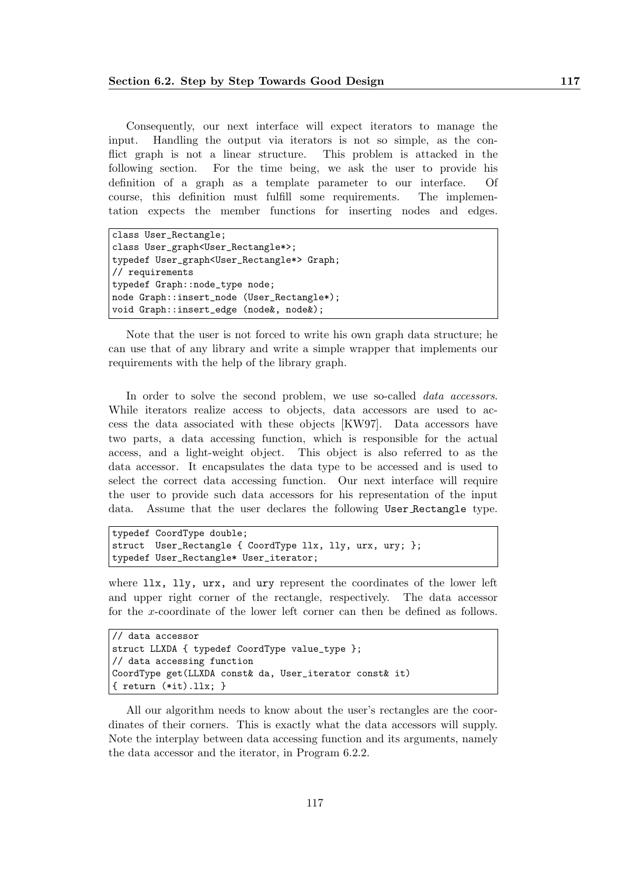Consequently, our next interface will expect iterators to manage the input. Handling the output via iterators is not so simple, as the conflict graph is not a linear structure. This problem is attacked in the following section. For the time being, we ask the user to provide his definition of a graph as a template parameter to our interface. Of course, this definition must fulfill some requirements. The implementation expects the member functions for inserting nodes and edges.

```
class User_Rectangle;
class User_graph<User_Rectangle*>;
typedef User_graph<User_Rectangle*> Graph;
// requirements
typedef Graph::node_type node;
node Graph::insert_node (User_Rectangle*);
void Graph::insert_edge (node&, node&);
```
Note that the user is not forced to write his own graph data structure; he can use that of any library and write a simple wrapper that implements our requirements with the help of the library graph.

In order to solve the second problem, we use so-called *data accessors*. While iterators realize access to objects, data accessors are used to access the data associated with these objects [KW97]. Data accessors have two parts, a data accessing function, which is responsible for the actual access, and a light-weight object. This object is also referred to as the data accessor. It encapsulates the data type to be accessed and is used to select the correct data accessing function. Our next interface will require the user to provide such data accessors for his representation of the input data. Assume that the user declares the following User Rectangle type.

```
typedef CoordType double;
struct User_Rectangle { CoordType llx, lly, urx, ury; };
typedef User_Rectangle* User_iterator;
```
where  $11x$ ,  $11y$ ,  $urx$ , and  $ury$  represent the coordinates of the lower left and upper right corner of the rectangle, respectively. The data accessor for the x-coordinate of the lower left corner can then be defined as follows.

```
// data accessor
struct LLXDA { typedef CoordType value_type };
// data accessing function
CoordType get(LLXDA const& da, User_iterator const& it)
{ return (*it).llx; }
```
All our algorithm needs to know about the user's rectangles are the coordinates of their corners. This is exactly what the data accessors will supply. Note the interplay between data accessing function and its arguments, namely the data accessor and the iterator, in Program 6.2.2.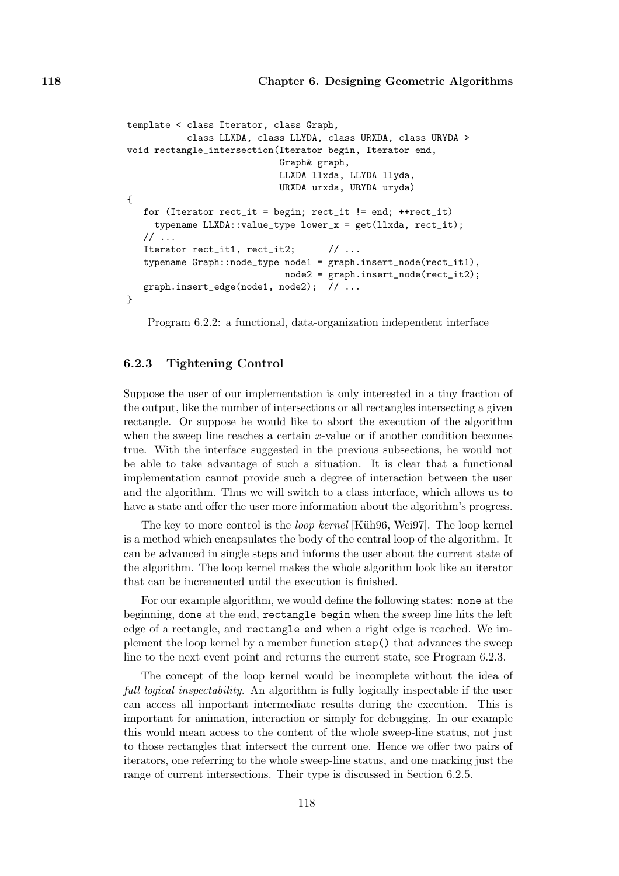```
template < class Iterator, class Graph,
           class LLXDA, class LLYDA, class URXDA, class URYDA >
void rectangle_intersection(Iterator begin, Iterator end,
                            Graph& graph,
                            LLXDA llxda, LLYDA llyda,
                            URXDA urxda, URYDA uryda)
{
  for (Iterator rect_it = begin; rect_it != end; ++rect\_it)
     typename LLXDA::value_type lower_x = get(llxda, rect_it);
  \frac{1}{2}...
  Iterator rect_it1, rect_it2; // ...
  typename Graph::node_type node1 = graph.insert_node(rect_it1),
                             node2 = graph.insert_node(rect_it2);
  graph.insert_edge(node1, node2); // ...
}
```
Program 6.2.2: a functional, data-organization independent interface

#### 6.2.3 Tightening Control

Suppose the user of our implementation is only interested in a tiny fraction of the output, like the number of intersections or all rectangles intersecting a given rectangle. Or suppose he would like to abort the execution of the algorithm when the sweep line reaches a certain  $x$ -value or if another condition becomes true. With the interface suggested in the previous subsections, he would not be able to take advantage of such a situation. It is clear that a functional implementation cannot provide such a degree of interaction between the user and the algorithm. Thus we will switch to a class interface, which allows us to have a state and offer the user more information about the algorithm's progress.

The key to more control is the *loop kernel* [Küh96, Wei97]. The loop kernel is a method which encapsulates the body of the central loop of the algorithm. It can be advanced in single steps and informs the user about the current state of the algorithm. The loop kernel makes the whole algorithm look like an iterator that can be incremented until the execution is finished.

For our example algorithm, we would define the following states: none at the beginning, done at the end, rectangle begin when the sweep line hits the left edge of a rectangle, and rectangle end when a right edge is reached. We implement the loop kernel by a member function step() that advances the sweep line to the next event point and returns the current state, see Program 6.2.3.

The concept of the loop kernel would be incomplete without the idea of full logical inspectability. An algorithm is fully logically inspectable if the user can access all important intermediate results during the execution. This is important for animation, interaction or simply for debugging. In our example this would mean access to the content of the whole sweep-line status, not just to those rectangles that intersect the current one. Hence we offer two pairs of iterators, one referring to the whole sweep-line status, and one marking just the range of current intersections. Their type is discussed in Section 6.2.5.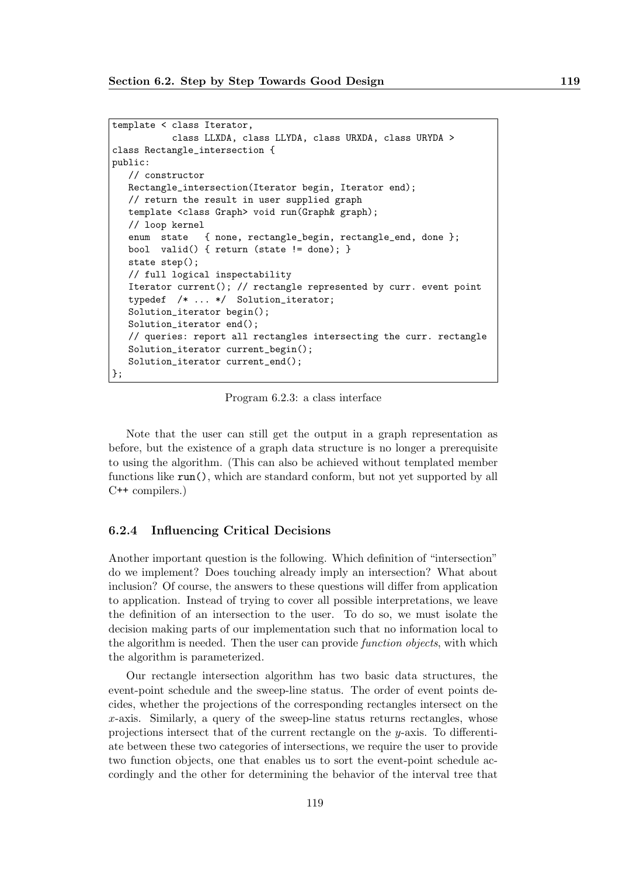```
template < class Iterator,
           class LLXDA, class LLYDA, class URXDA, class URYDA >
class Rectangle_intersection {
public:
   // constructor
  Rectangle_intersection(Iterator begin, Iterator end);
   // return the result in user supplied graph
   template <class Graph> void run(Graph& graph);
   // loop kernel
   enum state { none, rectangle_begin, rectangle_end, done };
   bool valid() { return (state != done); }
   state step();
   // full logical inspectability
   Iterator current(); // rectangle represented by curr. event point
   typedef /* ... */ Solution_iterator;
   Solution_iterator begin();
   Solution_iterator end();
   // queries: report all rectangles intersecting the curr. rectangle
   Solution_iterator current_begin();
   Solution_iterator current_end();
};
```
Program 6.2.3: a class interface

Note that the user can still get the output in a graph representation as before, but the existence of a graph data structure is no longer a prerequisite to using the algorithm. (This can also be achieved without templated member functions like run(), which are standard conform, but not yet supported by all C++ compilers.)

#### 6.2.4 Influencing Critical Decisions

Another important question is the following. Which definition of "intersection" do we implement? Does touching already imply an intersection? What about inclusion? Of course, the answers to these questions will differ from application to application. Instead of trying to cover all possible interpretations, we leave the definition of an intersection to the user. To do so, we must isolate the decision making parts of our implementation such that no information local to the algorithm is needed. Then the user can provide function objects, with which the algorithm is parameterized.

Our rectangle intersection algorithm has two basic data structures, the event-point schedule and the sweep-line status. The order of event points decides, whether the projections of the corresponding rectangles intersect on the x-axis. Similarly, a query of the sweep-line status returns rectangles, whose projections intersect that of the current rectangle on the y-axis. To differentiate between these two categories of intersections, we require the user to provide two function objects, one that enables us to sort the event-point schedule accordingly and the other for determining the behavior of the interval tree that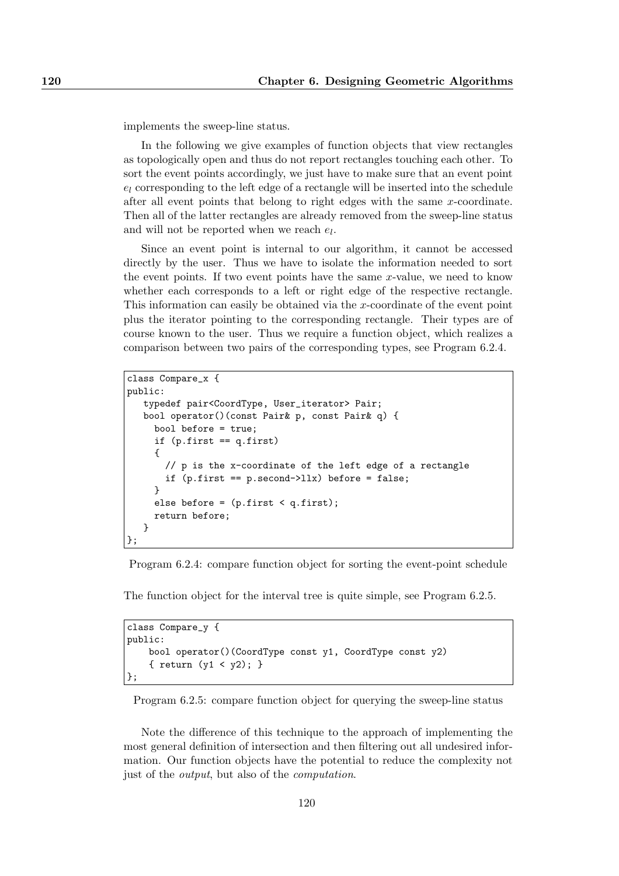implements the sweep-line status.

In the following we give examples of function objects that view rectangles as topologically open and thus do not report rectangles touching each other. To sort the event points accordingly, we just have to make sure that an event point  $e_l$  corresponding to the left edge of a rectangle will be inserted into the schedule after all event points that belong to right edges with the same x-coordinate. Then all of the latter rectangles are already removed from the sweep-line status and will not be reported when we reach  $e_l$ .

Since an event point is internal to our algorithm, it cannot be accessed directly by the user. Thus we have to isolate the information needed to sort the event points. If two event points have the same x-value, we need to know whether each corresponds to a left or right edge of the respective rectangle. This information can easily be obtained via the x-coordinate of the event point plus the iterator pointing to the corresponding rectangle. Their types are of course known to the user. Thus we require a function object, which realizes a comparison between two pairs of the corresponding types, see Program 6.2.4.

```
class Compare_x {
public:
  typedef pair<CoordType, User_iterator> Pair;
  bool operator()(const Pair& p, const Pair& q) {
     bool before = true;
     if (p.first == q.first)
     {
       // p is the x-coordinate of the left edge of a rectangle
       if (p.first == p.second->llx) before = false;
     }
     else before = (p.first < q.first);
     return before;
  }
};
```
Program 6.2.4: compare function object for sorting the event-point schedule

The function object for the interval tree is quite simple, see Program 6.2.5.

```
class Compare_y {
public:
    bool operator()(CoordType const y1, CoordType const y2)
    { return (y1 < y2); }
};
```
Program 6.2.5: compare function object for querying the sweep-line status

Note the difference of this technique to the approach of implementing the most general definition of intersection and then filtering out all undesired information. Our function objects have the potential to reduce the complexity not just of the output, but also of the computation.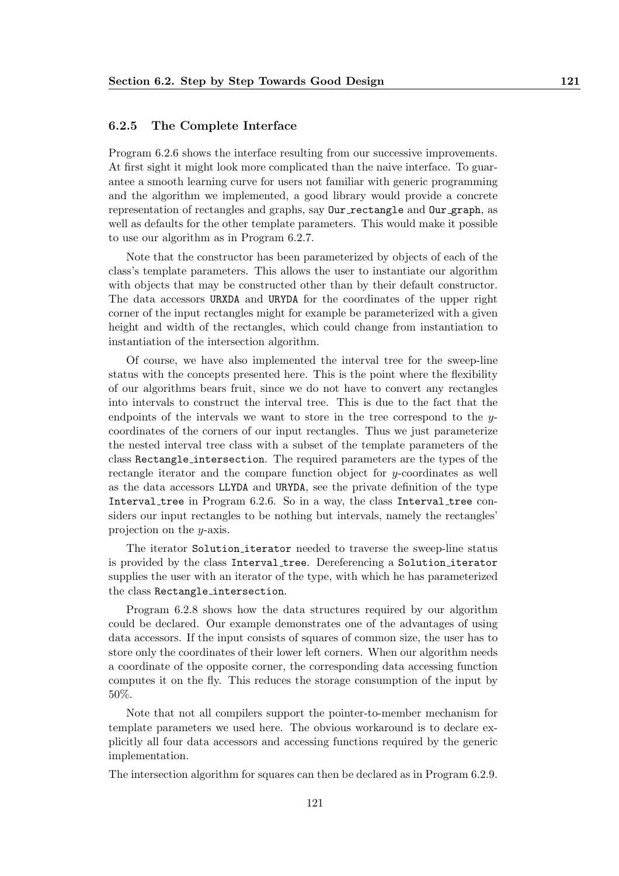#### 6.2.5 The Complete Interface

Program 6.2.6 shows the interface resulting from our successive improvements. At first sight it might look more complicated than the naive interface. To guarantee a smooth learning curve for users not familiar with generic programming and the algorithm we implemented, a good library would provide a concrete representation of rectangles and graphs, say Our rectangle and Our graph, as well as defaults for the other template parameters. This would make it possible to use our algorithm as in Program 6.2.7.

Note that the constructor has been parameterized by objects of each of the class's template parameters. This allows the user to instantiate our algorithm with objects that may be constructed other than by their default constructor. The data accessors URXDA and URYDA for the coordinates of the upper right corner of the input rectangles might for example be parameterized with a given height and width of the rectangles, which could change from instantiation to instantiation of the intersection algorithm.

Of course, we have also implemented the interval tree for the sweep-line status with the concepts presented here. This is the point where the flexibility of our algorithms bears fruit, since we do not have to convert any rectangles into intervals to construct the interval tree. This is due to the fact that the endpoints of the intervals we want to store in the tree correspond to the  $y$ coordinates of the corners of our input rectangles. Thus we just parameterize the nested interval tree class with a subset of the template parameters of the class Rectangle intersection. The required parameters are the types of the rectangle iterator and the compare function object for y-coordinates as well as the data accessors LLYDA and URYDA, see the private definition of the type Interval tree in Program 6.2.6. So in a way, the class Interval tree considers our input rectangles to be nothing but intervals, namely the rectangles' projection on the y-axis.

The iterator Solution iterator needed to traverse the sweep-line status is provided by the class Interval tree. Dereferencing a Solution iterator supplies the user with an iterator of the type, with which he has parameterized the class Rectangle intersection.

Program 6.2.8 shows how the data structures required by our algorithm could be declared. Our example demonstrates one of the advantages of using data accessors. If the input consists of squares of common size, the user has to store only the coordinates of their lower left corners. When our algorithm needs a coordinate of the opposite corner, the corresponding data accessing function computes it on the fly. This reduces the storage consumption of the input by 50%.

Note that not all compilers support the pointer-to-member mechanism for template parameters we used here. The obvious workaround is to declare explicitly all four data accessors and accessing functions required by the generic implementation.

The intersection algorithm for squares can then be declared as in Program 6.2.9.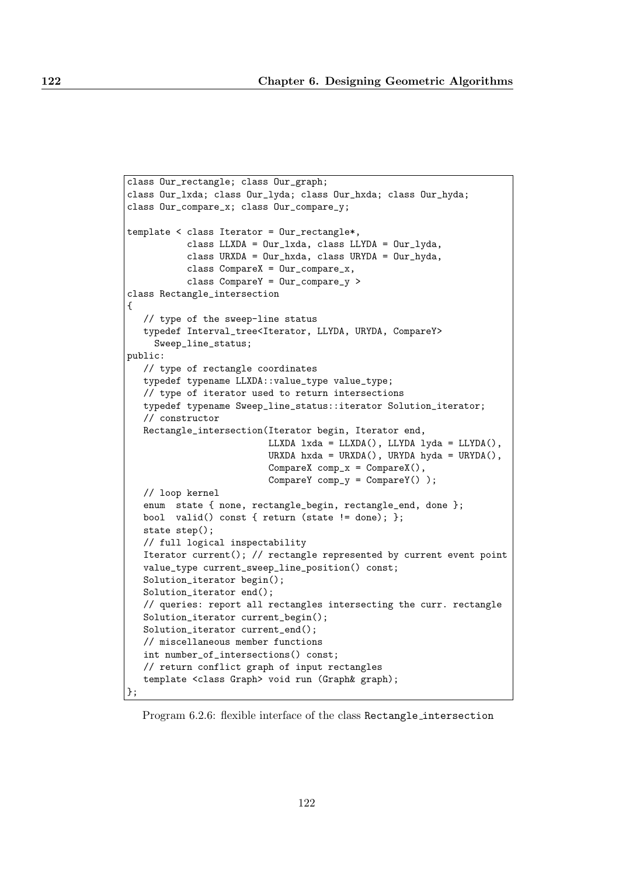```
class Our_rectangle; class Our_graph;
class Our_lxda; class Our_lyda; class Our_hxda; class Our_hyda;
class Our_compare_x; class Our_compare_y;
template < class Iterator = Our_rectangle*,
           class LLXDA = Our_lxda, class LLYDA = Our_lyda,
           class URXDA = Our_hxda, class URYDA = Our_hyda,
           class CompareX = Our\_compare_x,
           class CompareY = Our_compare_y >
class Rectangle_intersection
{
   // type of the sweep-line status
   typedef Interval_tree<Iterator, LLYDA, URYDA, CompareY>
     Sweep_line_status;
public:
   // type of rectangle coordinates
   typedef typename LLXDA::value_type value_type;
   // type of iterator used to return intersections
   typedef typename Sweep_line_status::iterator Solution_iterator;
   // constructor
   Rectangle_intersection(Iterator begin, Iterator end,
                          LLXDA lxda = LLXDA(), LLYDA lyda = LLYDA(),
                          URXDA hxda = URXDA(), URYDA hyda = URYDA(),
                          CompareX comp_x = CompareX(),
                          CompareY comp_y = CompareY() );
   // loop kernel
   enum state { none, rectangle_begin, rectangle_end, done };
   bool valid() const { return (state != done); };
   state step();
   // full logical inspectability
   Iterator current(); // rectangle represented by current event point
   value_type current_sweep_line_position() const;
   Solution_iterator begin();
   Solution_iterator end();
   // queries: report all rectangles intersecting the curr. rectangle
   Solution_iterator current_begin();
   Solution_iterator current_end();
   // miscellaneous member functions
   int number_of_intersections() const;
   // return conflict graph of input rectangles
   template <class Graph> void run (Graph& graph);
};
```
Program 6.2.6: flexible interface of the class Rectangle intersection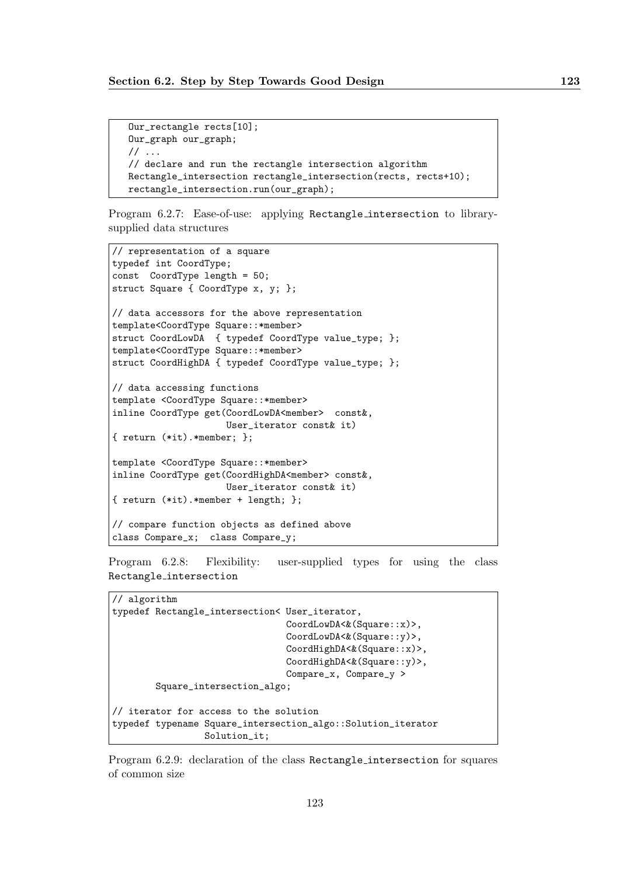```
Our_rectangle rects[10];
Our_graph our_graph;
// ...
// declare and run the rectangle intersection algorithm
Rectangle_intersection rectangle_intersection(rects, rects+10);
rectangle_intersection.run(our_graph);
```
Program 6.2.7: Ease-of-use: applying Rectangle intersection to librarysupplied data structures

```
// representation of a square
typedef int CoordType;
const CoordType length = 50;
struct Square { CoordType x, y; };
// data accessors for the above representation
template<CoordType Square::*member>
struct CoordLowDA { typedef CoordType value_type; };
template<CoordType Square::*member>
struct CoordHighDA { typedef CoordType value_type; };
// data accessing functions
template <CoordType Square::*member>
inline CoordType get(CoordLowDA<member> const&,
                     User_iterator const& it)
{ return (*it).*member; };
template <CoordType Square::*member>
inline CoordType get(CoordHighDA<member> const&,
                     User_iterator const& it)
{ return (*it).*member + length; };
// compare function objects as defined above
class Compare_x; class Compare_y;
```
Program 6.2.8: Flexibility: user-supplied types for using the class Rectangle intersection

```
// algorithm
typedef Rectangle_intersection< User_iterator,
                                CoordLowDA<&(Square::x)>,
                                CoordLowDA<&(Square::y)>,
                                CoordHighDA<&(Square::x)>,
                                CoordHighDA<&(Square::y)>,
                                Compare_x, Compare_y >
        Square_intersection_algo;
// iterator for access to the solution
typedef typename Square_intersection_algo::Solution_iterator
                 Solution_it;
```
Program 6.2.9: declaration of the class Rectangle intersection for squares of common size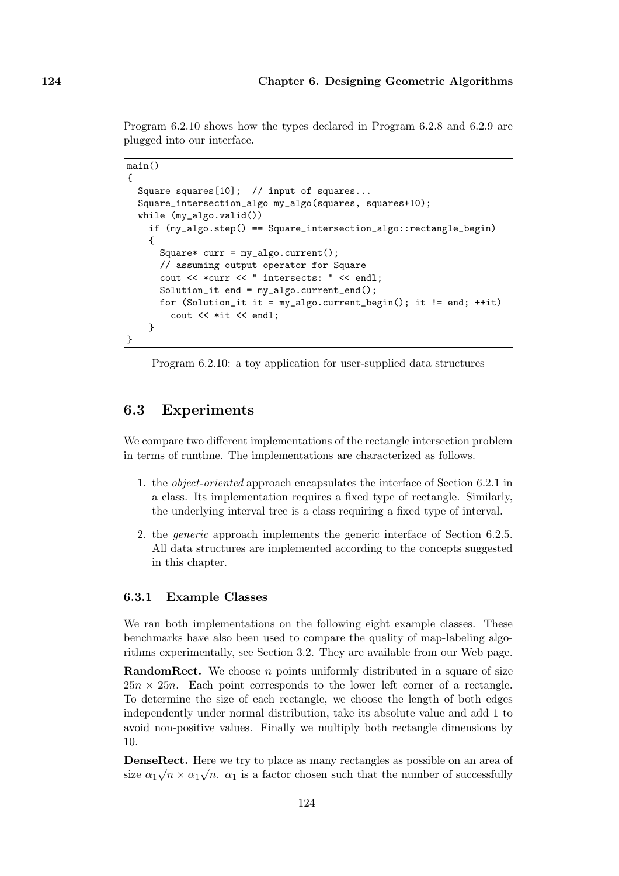Program 6.2.10 shows how the types declared in Program 6.2.8 and 6.2.9 are plugged into our interface.

```
main()
{
  Square squares[10]; // input of squares...
  Square_intersection_algo my_algo(squares, squares+10);
  while (my_algo.valid())
    if (my_algo.step() == Square_intersection_algo::rectangle_begin)
    {
      Square* curr = my_algo.current();
      // assuming output operator for Square
      cout << *curr << " intersects: " << endl;
      Solution_it end = my_algo.current_end();
      for (Solution_it it = my_algo.current_begin(); it != end; ++it)
        cout << *it << endl;
    }
}
```
Program 6.2.10: a toy application for user-supplied data structures

## 6.3 Experiments

We compare two different implementations of the rectangle intersection problem in terms of runtime. The implementations are characterized as follows.

- 1. the object-oriented approach encapsulates the interface of Section 6.2.1 in a class. Its implementation requires a fixed type of rectangle. Similarly, the underlying interval tree is a class requiring a fixed type of interval.
- 2. the generic approach implements the generic interface of Section 6.2.5. All data structures are implemented according to the concepts suggested in this chapter.

#### 6.3.1 Example Classes

We ran both implementations on the following eight example classes. These benchmarks have also been used to compare the quality of map-labeling algorithms experimentally, see Section 3.2. They are available from our Web page.

**RandomRect.** We choose  $n$  points uniformly distributed in a square of size  $25n \times 25n$ . Each point corresponds to the lower left corner of a rectangle. To determine the size of each rectangle, we choose the length of both edges independently under normal distribution, take its absolute value and add 1 to avoid non-positive values. Finally we multiply both rectangle dimensions by 10.

DenseRect. Here we try to place as many rectangles as possible on an area of size  $\alpha_1\sqrt{n} \times \alpha_1\sqrt{n}$ .  $\alpha_1$  is a factor chosen such that the number of successfully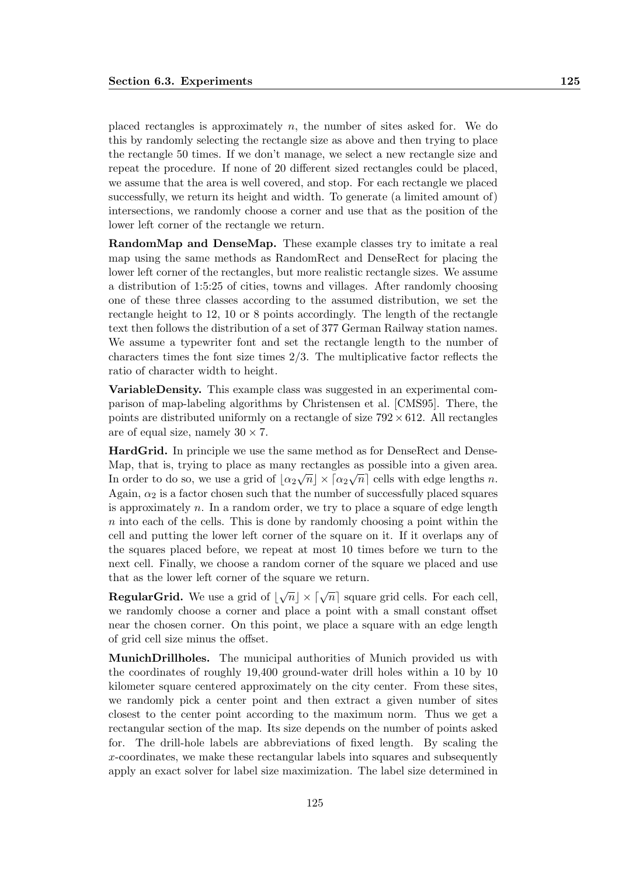placed rectangles is approximately  $n$ , the number of sites asked for. We do this by randomly selecting the rectangle size as above and then trying to place the rectangle 50 times. If we don't manage, we select a new rectangle size and repeat the procedure. If none of 20 different sized rectangles could be placed, we assume that the area is well covered, and stop. For each rectangle we placed successfully, we return its height and width. To generate (a limited amount of) intersections, we randomly choose a corner and use that as the position of the lower left corner of the rectangle we return.

RandomMap and DenseMap. These example classes try to imitate a real map using the same methods as RandomRect and DenseRect for placing the lower left corner of the rectangles, but more realistic rectangle sizes. We assume a distribution of 1:5:25 of cities, towns and villages. After randomly choosing one of these three classes according to the assumed distribution, we set the rectangle height to 12, 10 or 8 points accordingly. The length of the rectangle text then follows the distribution of a set of 377 German Railway station names. We assume a typewriter font and set the rectangle length to the number of characters times the font size times 2/3. The multiplicative factor reflects the ratio of character width to height.

VariableDensity. This example class was suggested in an experimental comparison of map-labeling algorithms by Christensen et al. [CMS95]. There, the points are distributed uniformly on a rectangle of size  $792 \times 612$ . All rectangles are of equal size, namely  $30 \times 7$ .

HardGrid. In principle we use the same method as for DenseRect and Dense-Map, that is, trying to place as many rectangles as possible into a given area. In order to do so, we use a grid of  $\lfloor \alpha_2 \sqrt{n} \rfloor \times \lceil \alpha_2 \sqrt{n} \rceil$  cells with edge lengths n. Again,  $\alpha_2$  is a factor chosen such that the number of successfully placed squares is approximately  $n$ . In a random order, we try to place a square of edge length  $n$  into each of the cells. This is done by randomly choosing a point within the cell and putting the lower left corner of the square on it. If it overlaps any of the squares placed before, we repeat at most 10 times before we turn to the next cell. Finally, we choose a random corner of the square we placed and use that as the lower left corner of the square we return.

**RegularGrid.** We use a grid of  $\lfloor \sqrt{n} \rfloor \times \lceil \sqrt{n} \rceil$  square grid cells. For each cell, we randomly choose a corner and place a point with a small constant offset near the chosen corner. On this point, we place a square with an edge length of grid cell size minus the offset.

MunichDrillholes. The municipal authorities of Munich provided us with the coordinates of roughly 19,400 ground-water drill holes within a 10 by 10 kilometer square centered approximately on the city center. From these sites, we randomly pick a center point and then extract a given number of sites closest to the center point according to the maximum norm. Thus we get a rectangular section of the map. Its size depends on the number of points asked for. The drill-hole labels are abbreviations of fixed length. By scaling the x-coordinates, we make these rectangular labels into squares and subsequently apply an exact solver for label size maximization. The label size determined in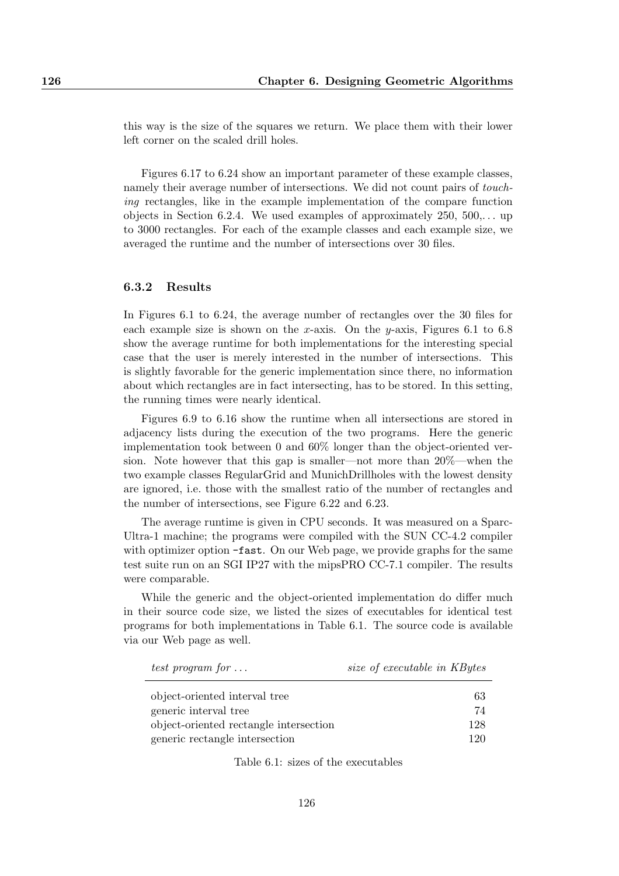this way is the size of the squares we return. We place them with their lower left corner on the scaled drill holes.

Figures 6.17 to 6.24 show an important parameter of these example classes, namely their average number of intersections. We did not count pairs of touching rectangles, like in the example implementation of the compare function objects in Section 6.2.4. We used examples of approximately  $250, 500, \ldots$  up to 3000 rectangles. For each of the example classes and each example size, we averaged the runtime and the number of intersections over 30 files.

#### 6.3.2 Results

In Figures 6.1 to 6.24, the average number of rectangles over the 30 files for each example size is shown on the x-axis. On the y-axis, Figures 6.1 to 6.8 show the average runtime for both implementations for the interesting special case that the user is merely interested in the number of intersections. This is slightly favorable for the generic implementation since there, no information about which rectangles are in fact intersecting, has to be stored. In this setting, the running times were nearly identical.

Figures 6.9 to 6.16 show the runtime when all intersections are stored in adjacency lists during the execution of the two programs. Here the generic implementation took between 0 and 60% longer than the object-oriented version. Note however that this gap is smaller—not more than 20%—when the two example classes RegularGrid and MunichDrillholes with the lowest density are ignored, i.e. those with the smallest ratio of the number of rectangles and the number of intersections, see Figure 6.22 and 6.23.

The average runtime is given in CPU seconds. It was measured on a Sparc-Ultra-1 machine; the programs were compiled with the SUN CC-4.2 compiler with optimizer option  $-fast$ . On our Web page, we provide graphs for the same test suite run on an SGI IP27 with the mipsPRO CC-7.1 compiler. The results were comparable.

While the generic and the object-oriented implementation do differ much in their source code size, we listed the sizes of executables for identical test programs for both implementations in Table 6.1. The source code is available via our Web page as well.

| test program for $\dots$ | size of executable in KBytes |
|--------------------------|------------------------------|
|--------------------------|------------------------------|

| object-oriented interval tree          | -63 |
|----------------------------------------|-----|
| generic interval tree                  | 74  |
| object-oriented rectangle intersection | 128 |
| generic rectangle intersection         | 120 |

Table 6.1: sizes of the executables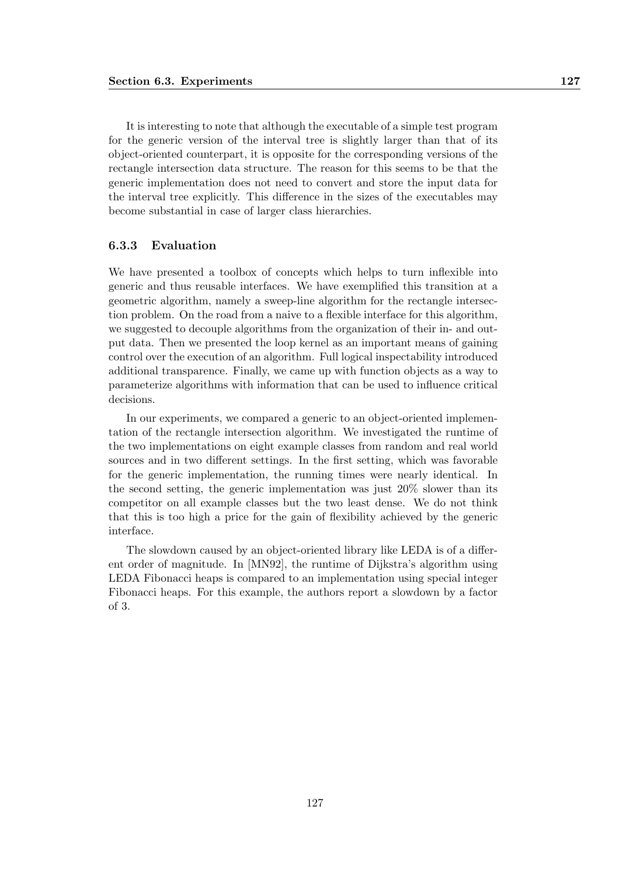It is interesting to note that although the executable of a simple test program for the generic version of the interval tree is slightly larger than that of its object-oriented counterpart, it is opposite for the corresponding versions of the rectangle intersection data structure. The reason for this seems to be that the generic implementation does not need to convert and store the input data for the interval tree explicitly. This difference in the sizes of the executables may become substantial in case of larger class hierarchies.

#### 6.3.3 Evaluation

We have presented a toolbox of concepts which helps to turn inflexible into generic and thus reusable interfaces. We have exemplified this transition at a geometric algorithm, namely a sweep-line algorithm for the rectangle intersection problem. On the road from a naive to a flexible interface for this algorithm, we suggested to decouple algorithms from the organization of their in- and output data. Then we presented the loop kernel as an important means of gaining control over the execution of an algorithm. Full logical inspectability introduced additional transparence. Finally, we came up with function objects as a way to parameterize algorithms with information that can be used to influence critical decisions.

In our experiments, we compared a generic to an object-oriented implementation of the rectangle intersection algorithm. We investigated the runtime of the two implementations on eight example classes from random and real world sources and in two different settings. In the first setting, which was favorable for the generic implementation, the running times were nearly identical. In the second setting, the generic implementation was just 20% slower than its competitor on all example classes but the two least dense. We do not think that this is too high a price for the gain of flexibility achieved by the generic interface.

The slowdown caused by an object-oriented library like LEDA is of a different order of magnitude. In [MN92], the runtime of Dijkstra's algorithm using LEDA Fibonacci heaps is compared to an implementation using special integer Fibonacci heaps. For this example, the authors report a slowdown by a factor of 3.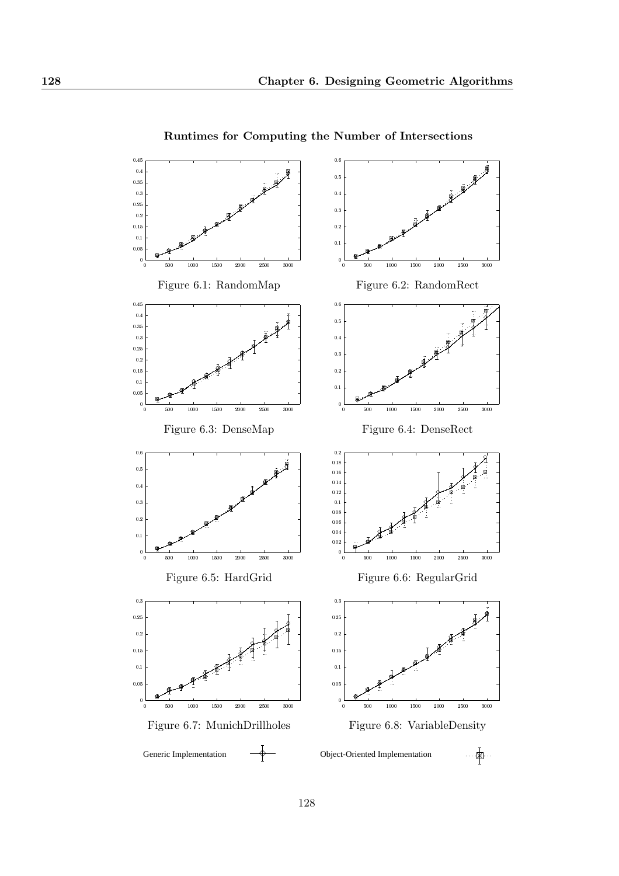

Runtimes for Computing the Number of Intersections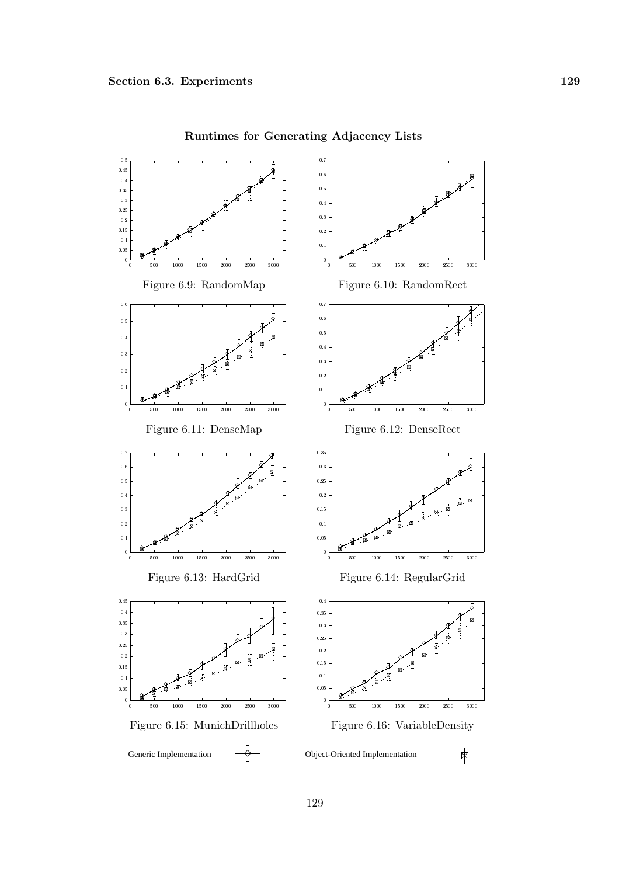

Runtimes for Generating Adjacency Lists